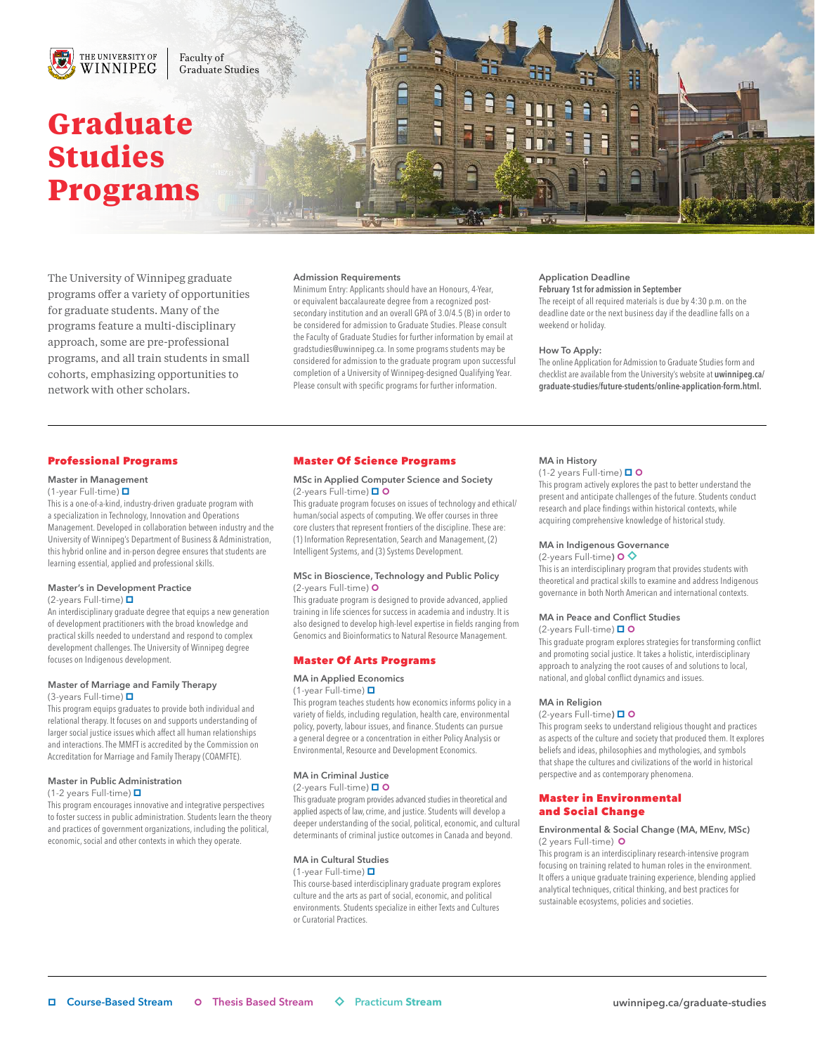

Faculty of Graduate Studies

# **Graduate Studies Programs**

The University of Winnipeg graduate programs offer a variety of opportunities for graduate students. Many of the programs feature a multi-disciplinary approach, some are pre-professional programs, and all train students in small cohorts, emphasizing opportunities to network with other scholars.

### Admission Requirements

Minimum Entry: Applicants should have an Honours, 4-Year, or equivalent baccalaureate degree from a recognized postsecondary institution and an overall GPA of 3.0/4.5 (B) in order to be considered for admission to Graduate Studies. Please consult the Faculty of Graduate Studies for further information by email at gradstudies@uwinnipeg.ca. In some programs students may be considered for admission to the graduate program upon successful completion of a University of Winnipeg-designed Qualifying Year. Please consult with specific programs for further information.

#### Application Deadline February 1st for admission in September

The receipt of all required materials is due by 4:30 p.m. on the deadline date or the next business day if the deadline falls on a weekend or holiday.

#### How To Apply:

The online Application for Admission to Graduate Studies form and checklist are available from the University's website at uwinnipeg.ca/ graduate-studies/future-students/online-application-form.html.

## Professional Programs

## Master in Management

(1-year Full-time)

This is a one-of-a-kind, industry-driven graduate program with a specialization in Technology, Innovation and Operations Management. Developed in collaboration between industry and the University of Winnipeg's Department of Business & Administration, this hybrid online and in-person degree ensures that students are learning essential, applied and professional skills.

## Master's in Development Practice

(2-years Full-time)

An interdisciplinary graduate degree that equips a new generation of development practitioners with the broad knowledge and practical skills needed to understand and respond to complex development challenges. The University of Winnipeg degree focuses on Indigenous development.

#### Master of Marriage and Family Therapy (3-years Full-time)  $\Box$

This program equips graduates to provide both individual and relational therapy. It focuses on and supports understanding of larger social justice issues which affect all human relationships and interactions. The MMFT is accredited by the Commission on Accreditation for Marriage and Family Therapy (COAMFTE).

#### Master in Public Administration

(1-2 years Full-time)

This program encourages innovative and integrative perspectives to foster success in public administration. Students learn the theory and practices of government organizations, including the political, economic, social and other contexts in which they operate.

## Master Of Science Programs

#### MSc in Applied Computer Science and Society (2-years Full-time) □ O

This graduate program focuses on issues of technology and ethical/ human/social aspects of computing. We offer courses in three core clusters that represent frontiers of the discipline. These are: (1) Information Representation, Search and Management, (2) Intelligent Systems, and (3) Systems Development.

#### MSc in Bioscience, Technology and Public Policy (2-years Full-time)

This graduate program is designed to provide advanced, applied training in life sciences for success in academia and industry. It is also designed to develop high-level expertise in fields ranging from Genomics and Bioinformatics to Natural Resource Management.

## Master Of Arts Programs

## MA in Applied Economics

(1-year Full-time)

This program teaches students how economics informs policy in a variety of fields, including regulation, health care, environmental policy, poverty, labour issues, and finance. Students can pursue a general degree or a concentration in either Policy Analysis or Environmental, Resource and Development Economics.

#### MA in Criminal Justice

#### (2-years Full-time) □ O

This graduate program provides advanced studies in theoretical and applied aspects of law, crime, and justice. Students will develop a deeper understanding of the social, political, economic, and cultural determinants of criminal justice outcomes in Canada and beyond.

#### MA in Cultural Studies

(1-year Full-time)

This course-based interdisciplinary graduate program explores culture and the arts as part of social, economic, and political environments. Students specialize in either Texts and Cultures or Curatorial Practices.

## MA in History

(1-2 years Full-time)  $\Box$  O

This program actively explores the past to better understand the present and anticipate challenges of the future. Students conduct research and place findings within historical contexts, while acquiring comprehensive knowledge of historical study.

#### MA in Indigenous Governance

(2-years Full-time)  $\bullet$ This is an interdisciplinary program that provides students with theoretical and practical skills to examine and address Indigenous governance in both North American and international contexts.

#### MA in Peace and Conflict Studies

(2-years Full-time) □ ○

This graduate program explores strategies for transforming conflict and promoting social justice. It takes a holistic, interdisciplinary approach to analyzing the root causes of and solutions to local, national, and global conflict dynamics and issues.

#### MA in Religion

#### (2-years Full-time)

This program seeks to understand religious thought and practices as aspects of the culture and society that produced them. It explores beliefs and ideas, philosophies and mythologies, and symbols that shape the cultures and civilizations of the world in historical perspective and as contemporary phenomena.

## Master in Environmental and Social Change

#### Environmental & Social Change (MA, MEnv, MSc) (2 years Full-time)

This program is an interdisciplinary research-intensive program focusing on training related to human roles in the environment. It offers a unique graduate training experience, blending applied analytical techniques, critical thinking, and best practices for sustainable ecosystems, policies and societies.